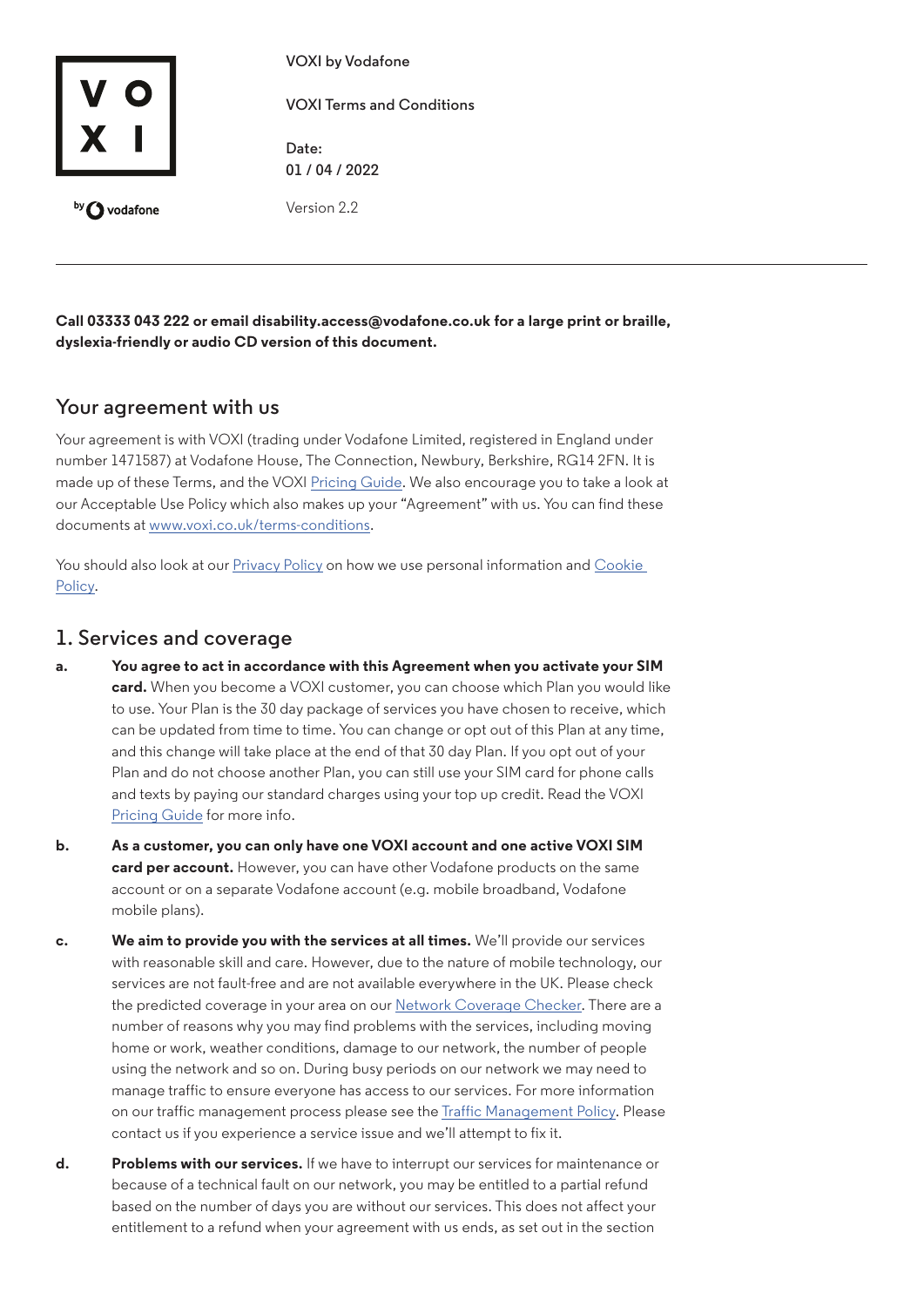

**VOXI by Vodafone**

**VOXI Terms and Conditions**

**Date: 01 / 04 / 2022**

Version 2.2

**Call 03333 043 222 or email disability.access@vodafone.co.uk for a large print or braille, dyslexia-friendly or audio CD version of this document.**

## **Your agreement with us**

Your agreement is with VOXI (trading under Vodafone Limited, registered in England under number 1471587) at Vodafone House, The Connection, Newbury, Berkshire, RG14 2FN. It is made up of these Terms, and the VOXI [Pricing Guide](https://www.voxi.co.uk/charges). We also encourage you to take a look at our Acceptable Use Policy which also makes up your "Agreement" with us. You can find these documents at [www.voxi.co.uk/terms-conditions.](https://www.voxi.co.uk/terms-conditions)

You should also look at our [Privacy Policy](https://www.voxi.co.uk/privacy-policy) on how we use personal information and Cookie [Policy](https://www.voxi.co.uk/terms-conditions#cookie-policy).

## **1. Services and coverage**

- **a. You agree to act in accordance with this Agreement when you activate your SIM card.** When you become a VOXI customer, you can choose which Plan you would like to use. Your Plan is the 30 day package of services you have chosen to receive, which can be updated from time to time. You can change or opt out of this Plan at any time, and this change will take place at the end of that 30 day Plan. If you opt out of your Plan and do not choose another Plan, you can still use your SIM card for phone calls and texts by paying our standard charges using your top up credit. Read the VOXI [Pricing Guide](https://www.voxi.co.uk/charges) for more info.
- **b. As a customer, you can only have one VOXI account and one active VOXI SIM card per account.** However, you can have other Vodafone products on the same account or on a separate Vodafone account (e.g. mobile broadband, Vodafone mobile plans).
- **c. We aim to provide you with the services at all times.** We'll provide our services with reasonable skill and care. However, due to the nature of mobile technology, our services are not fault-free and are not available everywhere in the UK. Please check the predicted coverage in your area on our [Network Coverage Checker.](https://www.voxi.co.uk/network-coverage-checker) There are a number of reasons why you may find problems with the services, including moving home or work, weather conditions, damage to our network, the number of people using the network and so on. During busy periods on our network we may need to manage traffic to ensure everyone has access to our services. For more information on our traffic management process please see the [Traffic Management Policy.](https://www.vodafone.co.uk/terms-and-conditions/consumer/network-and-coverage/traffic-management) Please contact us if you experience a service issue and we'll attempt to fix it.
- **d. Problems with our services.** If we have to interrupt our services for maintenance or because of a technical fault on our network, you may be entitled to a partial refund based on the number of days you are without our services. This does not affect your entitlement to a refund when your agreement with us ends, as set out in the section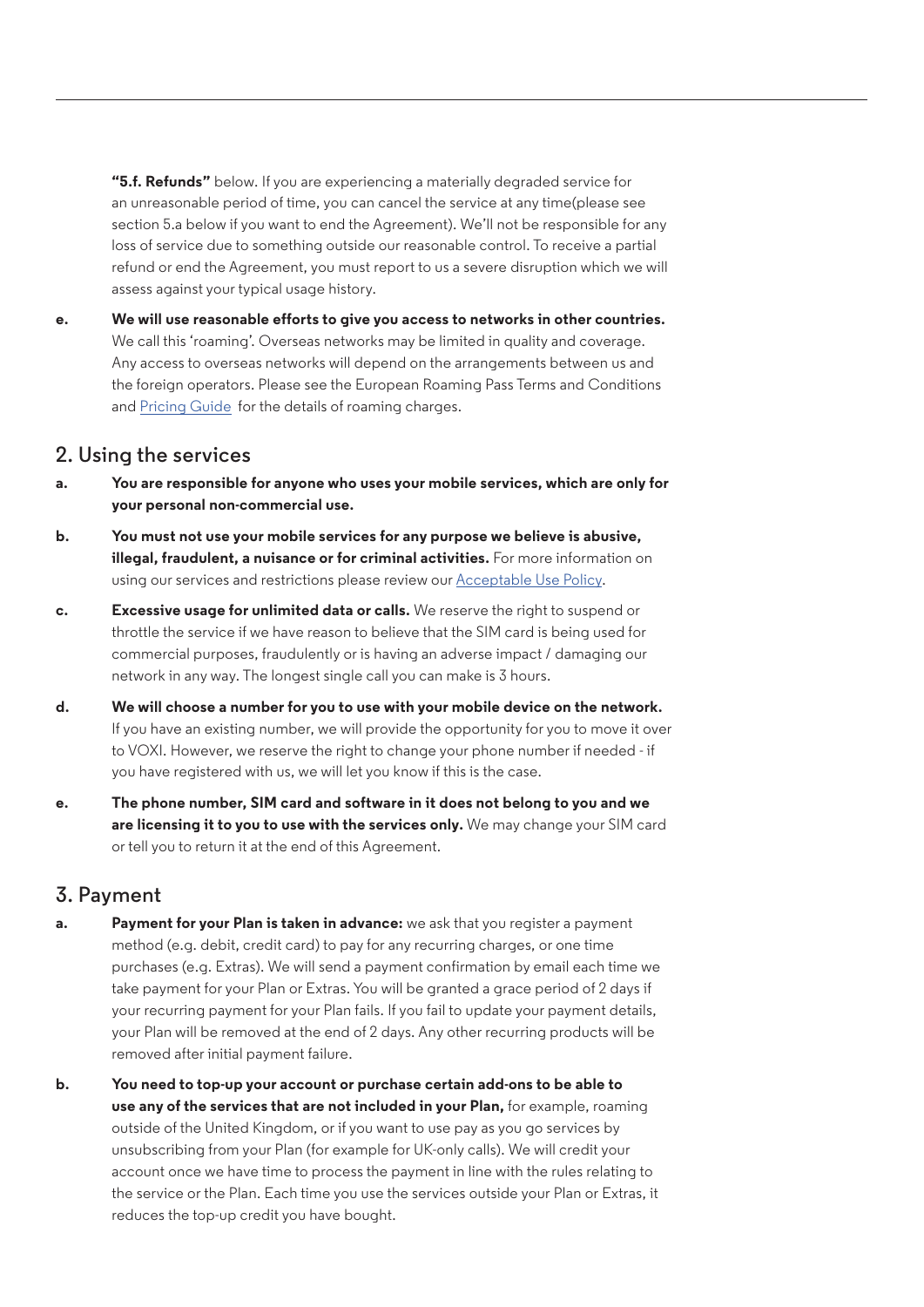**"5.f. Refunds"** below. If you are experiencing a materially degraded service for an unreasonable period of time, you can cancel the service at any time(please see section 5.a below if you want to end the Agreement). We'll not be responsible for any loss of service due to something outside our reasonable control. To receive a partial refund or end the Agreement, you must report to us a severe disruption which we will assess against your typical usage history.

**e. We will use reasonable efforts to give you access to networks in other countries.**  We call this 'roaming'. Overseas networks may be limited in quality and coverage. Any access to overseas networks will depend on the arrangements between us and the foreign operators. Please see the European Roaming Pass Terms and Conditions and [Pricing Guide](https://www.voxi.co.uk/charges) for the details of roaming charges.

### **2. Using the services**

- **a. You are responsible for anyone who uses your mobile services, which are only for your personal non-commercial use.**
- **b. You must not use your mobile services for any purpose we believe is abusive, illegal, fraudulent, a nuisance or for criminal activities.** For more information on using our services and restrictions please review our [Acceptable Use Policy](https://www.voxi.co.uk/static/VOXI_Acceptable_Use_Policy.pdf).
- **c. Excessive usage for unlimited data or calls.** We reserve the right to suspend or throttle the service if we have reason to believe that the SIM card is being used for commercial purposes, fraudulently or is having an adverse impact / damaging our network in any way. The longest single call you can make is 3 hours.
- **d. We will choose a number for you to use with your mobile device on the network.**  If you have an existing number, we will provide the opportunity for you to move it over to VOXI. However, we reserve the right to change your phone number if needed - if you have registered with us, we will let you know if this is the case.
- **e. The phone number, SIM card and software in it does not belong to you and we are licensing it to you to use with the services only.** We may change your SIM card or tell you to return it at the end of this Agreement.

# **3. Payment**

- **a. Payment for your Plan is taken in advance:** we ask that you register a payment method (e.g. debit, credit card) to pay for any recurring charges, or one time purchases (e.g. Extras). We will send a payment confirmation by email each time we take payment for your Plan or Extras. You will be granted a grace period of 2 days if your recurring payment for your Plan fails. If you fail to update your payment details, your Plan will be removed at the end of 2 days. Any other recurring products will be removed after initial payment failure.
- **b. You need to top-up your account or purchase certain add-ons to be able to use any of the services that are not included in your Plan,** for example, roaming outside of the United Kingdom, or if you want to use pay as you go services by unsubscribing from your Plan (for example for UK-only calls). We will credit your account once we have time to process the payment in line with the rules relating to the service or the Plan. Each time you use the services outside your Plan or Extras, it reduces the top-up credit you have bought.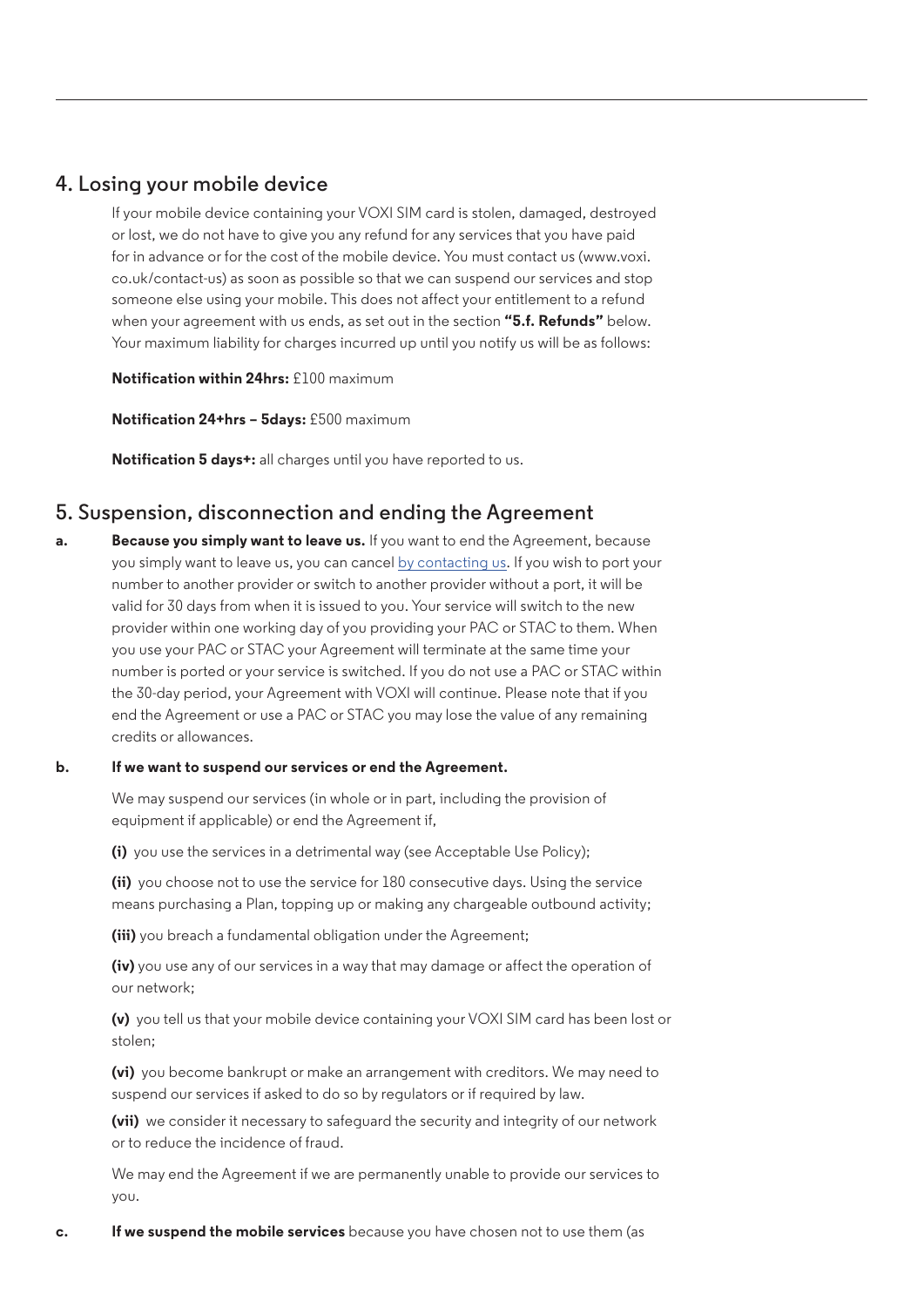### **4. Losing your mobile device**

If your mobile device containing your VOXI SIM card is stolen, damaged, destroyed or lost, we do not have to give you any refund for any services that you have paid for in advance or for the cost of the mobile device. You must contact us (www.voxi. co.uk/contact-us) as soon as possible so that we can suspend our services and stop someone else using your mobile. This does not affect your entitlement to a refund when your agreement with us ends, as set out in the section **"5.f. Refunds"** below. Your maximum liability for charges incurred up until you notify us will be as follows:

**Notification within 24hrs:** £100 maximum

**Notification 24+hrs – 5days:** £500 maximum

**Notification 5 days+:** all charges until you have reported to us.

### **5. Suspension, disconnection and ending the Agreement**

**a. Because you simply want to leave us.** If you want to end the Agreement, because you simply want to leave us, you can cancel [by contacting us](https://voxi.co.uk/contact-us). If you wish to port your number to another provider or switch to another provider without a port, it will be valid for 30 days from when it is issued to you. Your service will switch to the new provider within one working day of you providing your PAC or STAC to them. When you use your PAC or STAC your Agreement will terminate at the same time your number is ported or your service is switched. If you do not use a PAC or STAC within the 30-day period, your Agreement with VOXI will continue. Please note that if you end the Agreement or use a PAC or STAC you may lose the value of any remaining credits or allowances.

#### **b. If we want to suspend our services or end the Agreement.**

We may suspend our services (in whole or in part, including the provision of equipment if applicable) or end the Agreement if,

**(i)** you use the services in a detrimental way (see Acceptable Use Policy);

**(ii)** you choose not to use the service for 180 consecutive days. Using the service means purchasing a Plan, topping up or making any chargeable outbound activity;

**(iii)** you breach a fundamental obligation under the Agreement;

**(iv)** you use any of our services in a way that may damage or affect the operation of our network;

**(v)** you tell us that your mobile device containing your VOXI SIM card has been lost or stolen;

**(vi)** you become bankrupt or make an arrangement with creditors. We may need to suspend our services if asked to do so by regulators or if required by law.

**(vii)** we consider it necessary to safeguard the security and integrity of our network or to reduce the incidence of fraud.

We may end the Agreement if we are permanently unable to provide our services to you.

**c. If we suspend the mobile services** because you have chosen not to use them (as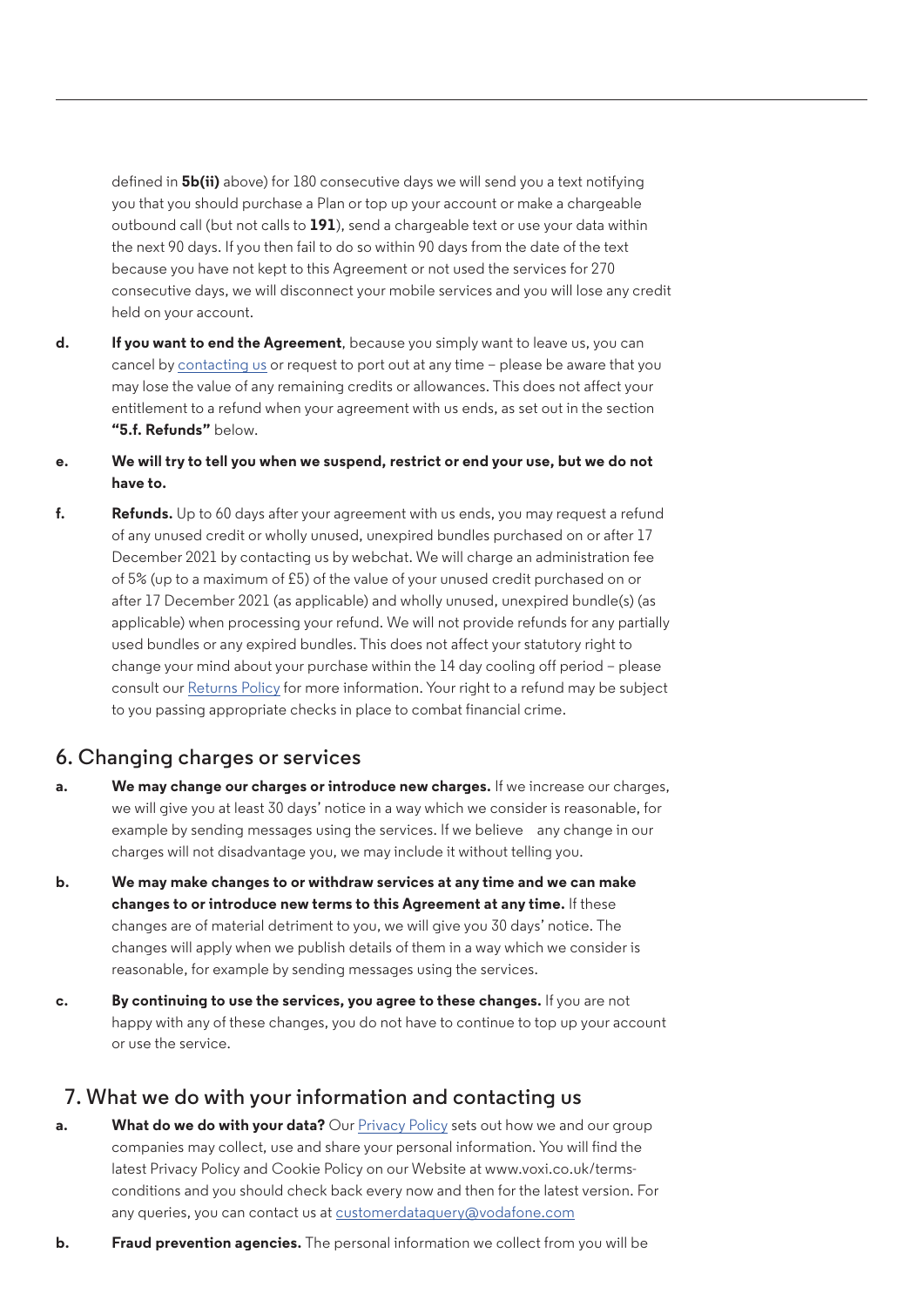defined in **5b(ii)** above) for 180 consecutive days we will send you a text notifying you that you should purchase a Plan or top up your account or make a chargeable outbound call (but not calls to **191**), send a chargeable text or use your data within the next 90 days. If you then fail to do so within 90 days from the date of the text because you have not kept to this Agreement or not used the services for 270 consecutive days, we will disconnect your mobile services and you will lose any credit held on your account.

- **d. If you want to end the Agreement**, because you simply want to leave us, you can cancel by [contacting us](https://voxi.co.uk/contact-us) or request to port out at any time – please be aware that you may lose the value of any remaining credits or allowances. This does not affect your entitlement to a refund when your agreement with us ends, as set out in the section **"5.f. Refunds"** below.
- **e. We will try to tell you when we suspend, restrict or end your use, but we do not have to.**
- **f. Refunds.** Up to 60 days after your agreement with us ends, you may request a refund of any unused credit or wholly unused, unexpired bundles purchased on or after 17 December 2021 by contacting us by webchat. We will charge an administration fee of 5% (up to a maximum of £5) of the value of your unused credit purchased on or after 17 December 2021 (as applicable) and wholly unused, unexpired bundle(s) (as applicable) when processing your refund. We will not provide refunds for any partially used bundles or any expired bundles. This does not affect your statutory right to change your mind about your purchase within the 14 day cooling off period – please consult our [Returns Policy](https://voxi.co.uk/static/VOXI_Returns_Policy.pdf) for more information. Your right to a refund may be subject to you passing appropriate checks in place to combat financial crime.

### **6. Changing charges or services**

- **a. We may change our charges or introduce new charges.** If we increase our charges, we will give you at least 30 days' notice in a way which we consider is reasonable, for example by sending messages using the services. If we believe any change in our charges will not disadvantage you, we may include it without telling you.
- **b. We may make changes to or withdraw services at any time and we can make changes to or introduce new terms to this Agreement at any time.** If these changes are of material detriment to you, we will give you 30 days' notice. The changes will apply when we publish details of them in a way which we consider is reasonable, for example by sending messages using the services.
- **c. By continuing to use the services, you agree to these changes.** If you are not happy with any of these changes, you do not have to continue to top up your account or use the service.

## **7. What we do with your information and contacting us**

- **a. What do we do with your data?** Our [Privacy Policy](https://www.voxi.co.uk/privacy-policy) sets out how we and our group companies may collect, use and share your personal information. You will find the latest Privacy Policy and Cookie Policy on our Website at www.voxi.co.uk/termsconditions and you should check back every now and then for the latest version. For any queries, you can contact us at [customerdataquery@vodafone.com](mailto:customerdataquery%40vodafone.com?subject=)
- **b. Fraud prevention agencies.** The personal information we collect from you will be